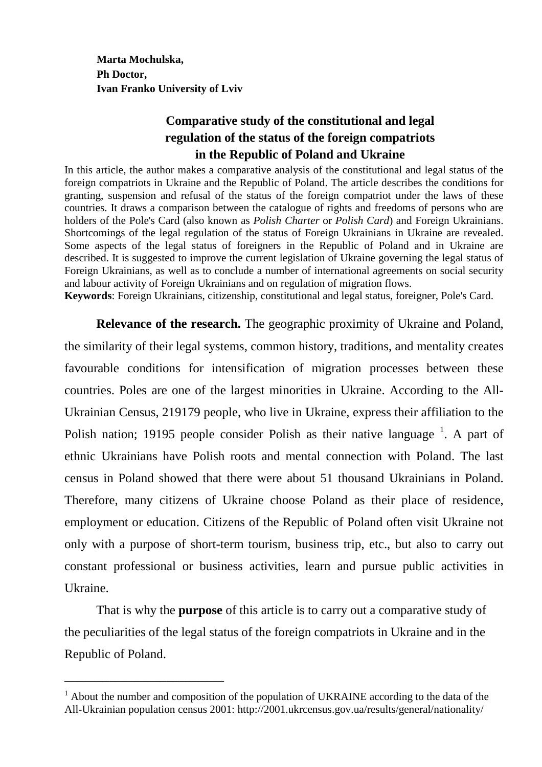**Marta Mochulska, Ph Doctor, Ivan Franko University of Lviv** 

## **Comparative study of the constitutional and legal regulation of the status of the foreign compatriots in the Republic of Poland and Ukraine**

In this article, the author makes a comparative analysis of the constitutional and legal status of the foreign compatriots in Ukraine and the Republic of Poland. The article describes the conditions for granting, suspension and refusal of the status of the foreign compatriot under the laws of these countries. It draws a comparison between the catalogue of rights and freedoms of persons who are holders of the Pole's Card (also known as *Polish Charter* or *Polish Card*) and Foreign Ukrainians. Shortcomings of the legal regulation of the status of Foreign Ukrainians in Ukraine are revealed. Some aspects of the legal status of foreigners in the Republic of Poland and in Ukraine are described. It is suggested to improve the current legislation of Ukraine governing the legal status of Foreign Ukrainians, as well as to conclude a number of international agreements on social security and labour activity of Foreign Ukrainians and on regulation of migration flows.

**Keywords**: Foreign Ukrainians, citizenship, constitutional and legal status, foreigner, Pole's Card.

 **Relevance of the research.** The geographic proximity of Ukraine and Poland, the similarity of their legal systems, common history, traditions, and mentality creates favourable conditions for intensification of migration processes between these countries. Poles are one of the largest minorities in Ukraine. According to the All-Ukrainian Census, 219179 people, who live in Ukraine, express their affiliation to the Polish nation; 19195 people consider Polish as their native language  $^1$ . A part of ethnic Ukrainians have Polish roots and mental connection with Poland. The last census in Poland showed that there were about 51 thousand Ukrainians in Poland. Therefore, many citizens of Ukraine choose Poland as their place of residence, employment or education. Citizens of the Republic of Poland often visit Ukraine not only with a purpose of short-term tourism, business trip, etc., but also to carry out constant professional or business activities, learn and pursue public activities in Ukraine.

 That is why the **purpose** of this article is to carry out a comparative study of the peculiarities of the legal status of the foreign compatriots in Ukraine and in the Republic of Poland.

\_\_\_\_\_\_\_\_\_\_\_\_\_\_\_\_\_\_\_\_\_\_\_\_\_

<sup>&</sup>lt;sup>1</sup> About the number and composition of the population of UKRAINE according to the data of the All-Ukrainian population census 2001: http://2001.ukrcensus.gov.ua/results/general/nationality/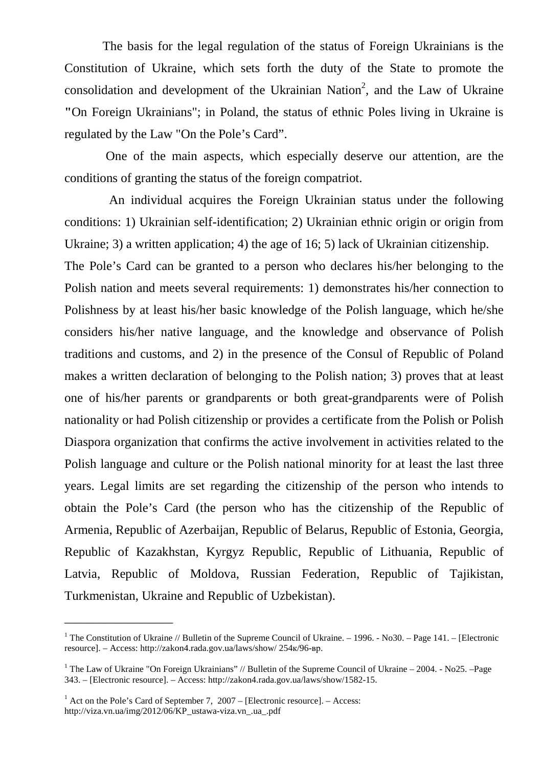The basis for the legal regulation of the status of Foreign Ukrainians is the Constitution of Ukraine, which sets forth the duty of the State to promote the consolidation and development of the Ukrainian Nation<sup>2</sup>, and the Law of Ukraine **"**On Foreign Ukrainians"; in Poland, the status of ethnic Poles living in Ukraine is regulated by the Law "On the Pole's Card".

 One of the main aspects, which especially deserve our attention, are the conditions of granting the status of the foreign compatriot.

 An individual acquires the Foreign Ukrainian status under the following conditions: 1) Ukrainian self-identification; 2) Ukrainian ethnic origin or origin from Ukraine; 3) a written application; 4) the age of 16; 5) lack of Ukrainian citizenship. The Pole's Card can be granted to a person who declares his/her belonging to the Polish nation and meets several requirements: 1) demonstrates his/her connection to Polishness by at least his/her basic knowledge of the Polish language, which he/she considers his/her native language, and the knowledge and observance of Polish traditions and customs, and 2) in the presence of the Consul of Republic of Poland makes a written declaration of belonging to the Polish nation; 3) proves that at least one of his/her parents or grandparents or both great-grandparents were of Polish nationality or had Polish citizenship or provides a certificate from the Polish or Polish Diaspora organization that confirms the active involvement in activities related to the Polish language and culture or the Polish national minority for at least the last three years. Legal limits are set regarding the citizenship of the person who intends to obtain the Pole's Card (the person who has the citizenship of the Republic of Armenia, Republic of Azerbaijan, Republic of Belarus, Republic of Estonia, Georgia, Republic of Kazakhstan, Kyrgyz Republic, Republic of Lithuania, Republic of Latvia, Republic of Moldova, Russian Federation, Republic of Tajikistan, Turkmenistan, Ukraine and Republic of Uzbekistan).

\_\_\_\_\_\_\_\_\_\_\_\_\_\_\_\_\_

<sup>&</sup>lt;sup>1</sup> The Constitution of Ukraine // Bulletin of the Supreme Council of Ukraine. – 1996. - No30. – Page 141. – [Electronic resource]. – Access: http://zakon4.rada.gov.ua/laws/show/ 254к/96-вр.

<sup>&</sup>lt;sup>1</sup> The Law of Ukraine "On Foreign Ukrainians" // Bulletin of the Supreme Council of Ukraine – 2004. - No25. –Page 343. – [Electronic resource]. – Access: http://zakon4.rada.gov.ua/laws/show/1582-15.

 $<sup>1</sup>$  Act on the Pole's Card of September 7, 2007 – [Electronic resource]. – Access:</sup> http://viza.vn.ua/img/2012/06/KP\_ustawa-viza.vn\_.ua\_.pdf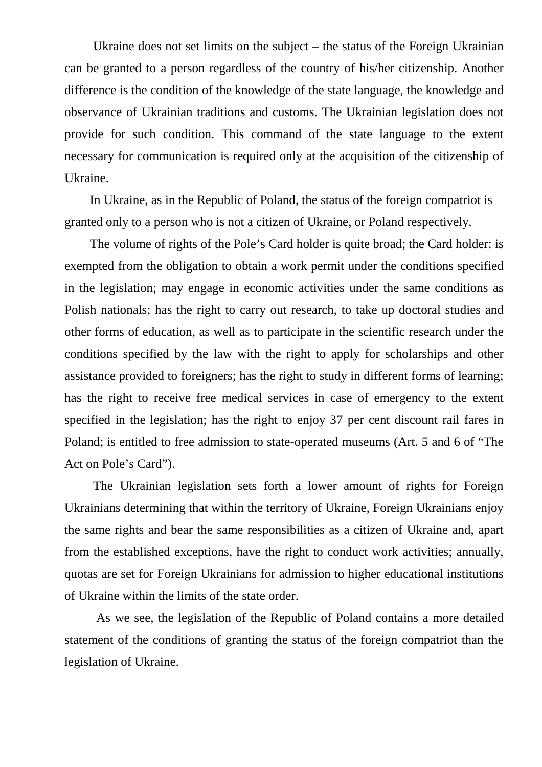Ukraine does not set limits on the subject – the status of the Foreign Ukrainian can be granted to a person regardless of the country of his/her citizenship. Another difference is the condition of the knowledge of the state language, the knowledge and observance of Ukrainian traditions and customs. The Ukrainian legislation does not provide for such condition. This command of the state language to the extent necessary for communication is required only at the acquisition of the citizenship of Ukraine.

 In Ukraine, as in the Republic of Poland, the status of the foreign compatriot is granted only to a person who is not a citizen of Ukraine, or Poland respectively.

 The volume of rights of the Pole's Card holder is quite broad; the Card holder: is exempted from the obligation to obtain a work permit under the conditions specified in the legislation; may engage in economic activities under the same conditions as Polish nationals; has the right to carry out research, to take up doctoral studies and other forms of education, as well as to participate in the scientific research under the conditions specified by the law with the right to apply for scholarships and other assistance provided to foreigners; has the right to study in different forms of learning; has the right to receive free medical services in case of emergency to the extent specified in the legislation; has the right to enjoy 37 per cent discount rail fares in Poland; is entitled to free admission to state-operated museums (Art. 5 and 6 of "The Act on Pole's Card").

 The Ukrainian legislation sets forth a lower amount of rights for Foreign Ukrainians determining that within the territory of Ukraine, Foreign Ukrainians enjoy the same rights and bear the same responsibilities as a citizen of Ukraine and, apart from the established exceptions, have the right to conduct work activities; annually, quotas are set for Foreign Ukrainians for admission to higher educational institutions of Ukraine within the limits of the state order.

 As we see, the legislation of the Republic of Poland contains a more detailed statement of the conditions of granting the status of the foreign compatriot than the legislation of Ukraine.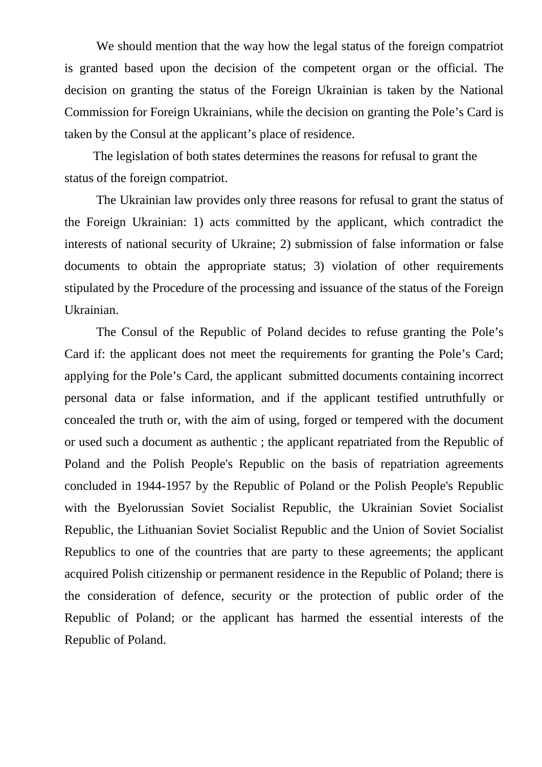We should mention that the way how the legal status of the foreign compatriot is granted based upon the decision of the competent organ or the official. The decision on granting the status of the Foreign Ukrainian is taken by the National Commission for Foreign Ukrainians, while the decision on granting the Pole's Card is taken by the Consul at the applicant's place of residence.

 The legislation of both states determines the reasons for refusal to grant the status of the foreign compatriot.

 The Ukrainian law provides only three reasons for refusal to grant the status of the Foreign Ukrainian: 1) acts committed by the applicant, which contradict the interests of national security of Ukraine; 2) submission of false information or false documents to obtain the appropriate status; 3) violation of other requirements stipulated by the Procedure of the processing and issuance of the status of the Foreign Ukrainian.

 The Consul of the Republic of Poland decides to refuse granting the Pole's Card if: the applicant does not meet the requirements for granting the Pole's Card; applying for the Pole's Card, the applicant submitted documents containing incorrect personal data or false information, and if the applicant testified untruthfully or concealed the truth or, with the aim of using, forged or tempered with the document or used such a document as authentic ; the applicant repatriated from the Republic of Poland and the Polish People's Republic on the basis of repatriation agreements concluded in 1944-1957 by the Republic of Poland or the Polish People's Republic with the Byelorussian Soviet Socialist Republic, the Ukrainian Soviet Socialist Republic, the Lithuanian Soviet Socialist Republic and the Union of Soviet Socialist Republics to one of the countries that are party to these agreements; the applicant acquired Polish citizenship or permanent residence in the Republic of Poland; there is the consideration of defence, security or the protection of public order of the Republic of Poland; or the applicant has harmed the essential interests of the Republic of Poland.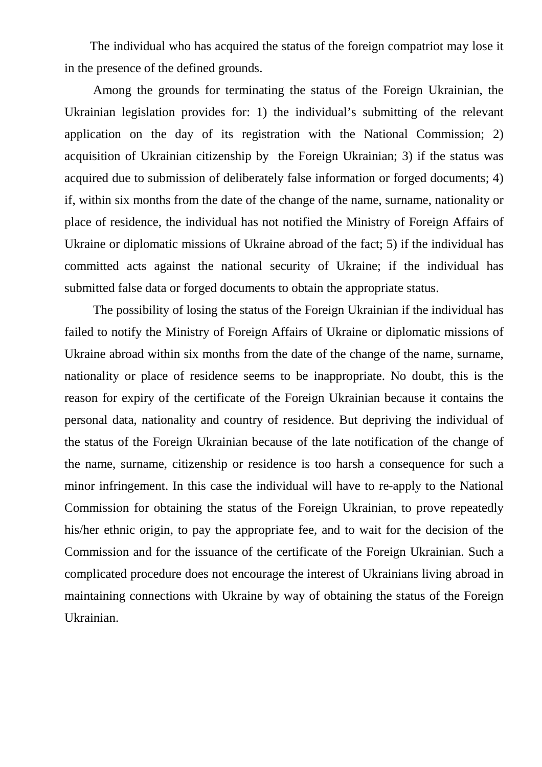The individual who has acquired the status of the foreign compatriot may lose it in the presence of the defined grounds.

 Among the grounds for terminating the status of the Foreign Ukrainian, the Ukrainian legislation provides for: 1) the individual's submitting of the relevant application on the day of its registration with the National Commission; 2) acquisition of Ukrainian citizenship by the Foreign Ukrainian; 3) if the status was acquired due to submission of deliberately false information or forged documents; 4) if, within six months from the date of the change of the name, surname, nationality or place of residence, the individual has not notified the Ministry of Foreign Affairs of Ukraine or diplomatic missions of Ukraine abroad of the fact; 5) if the individual has committed acts against the national security of Ukraine; if the individual has submitted false data or forged documents to obtain the appropriate status.

 The possibility of losing the status of the Foreign Ukrainian if the individual has failed to notify the Ministry of Foreign Affairs of Ukraine or diplomatic missions of Ukraine abroad within six months from the date of the change of the name, surname, nationality or place of residence seems to be inappropriate. No doubt, this is the reason for expiry of the certificate of the Foreign Ukrainian because it contains the personal data, nationality and country of residence. But depriving the individual of the status of the Foreign Ukrainian because of the late notification of the change of the name, surname, citizenship or residence is too harsh a consequence for such a minor infringement. In this case the individual will have to re-apply to the National Commission for obtaining the status of the Foreign Ukrainian, to prove repeatedly his/her ethnic origin, to pay the appropriate fee, and to wait for the decision of the Commission and for the issuance of the certificate of the Foreign Ukrainian. Such a complicated procedure does not encourage the interest of Ukrainians living abroad in maintaining connections with Ukraine by way of obtaining the status of the Foreign Ukrainian.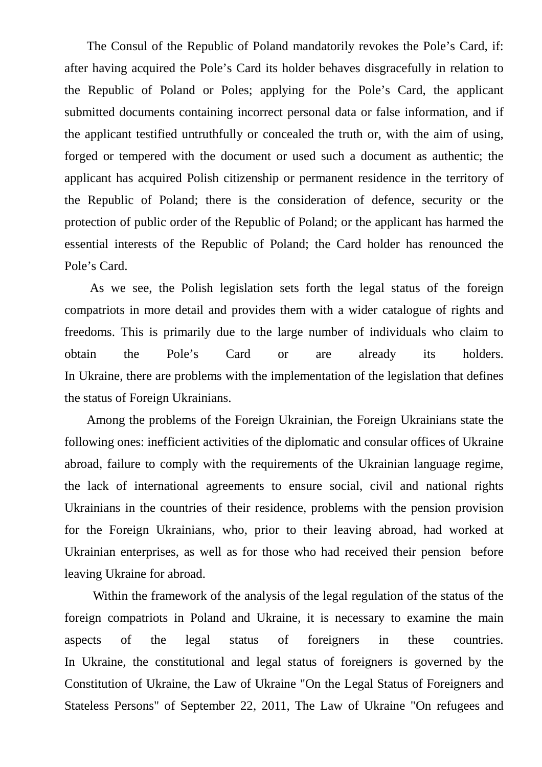The Consul of the Republic of Poland mandatorily revokes the Pole's Card, if: after having acquired the Pole's Card its holder behaves disgracefully in relation to the Republic of Poland or Poles; applying for the Pole's Card, the applicant submitted documents containing incorrect personal data or false information, and if the applicant testified untruthfully or concealed the truth or, with the aim of using, forged or tempered with the document or used such a document as authentic; the applicant has acquired Polish citizenship or permanent residence in the territory of the Republic of Poland; there is the consideration of defence, security or the protection of public order of the Republic of Poland; or the applicant has harmed the essential interests of the Republic of Poland; the Card holder has renounced the Pole's Card.

 As we see, the Polish legislation sets forth the legal status of the foreign compatriots in more detail and provides them with a wider catalogue of rights and freedoms. This is primarily due to the large number of individuals who claim to obtain the Pole's Card or are already its holders. In Ukraine, there are problems with the implementation of the legislation that defines the status of Foreign Ukrainians.

 Among the problems of the Foreign Ukrainian, the Foreign Ukrainians state the following ones: inefficient activities of the diplomatic and consular offices of Ukraine abroad, failure to comply with the requirements of the Ukrainian language regime, the lack of international agreements to ensure social, civil and national rights Ukrainians in the countries of their residence, problems with the pension provision for the Foreign Ukrainians, who, prior to their leaving abroad, had worked at Ukrainian enterprises, as well as for those who had received their pension before leaving Ukraine for abroad.

 Within the framework of the analysis of the legal regulation of the status of the foreign compatriots in Poland and Ukraine, it is necessary to examine the main aspects of the legal status of foreigners in these countries. In Ukraine, the constitutional and legal status of foreigners is governed by the Constitution of Ukraine, the Law of Ukraine "On the Legal Status of Foreigners and Stateless Persons" of September 22, 2011, The Law of Ukraine "On refugees and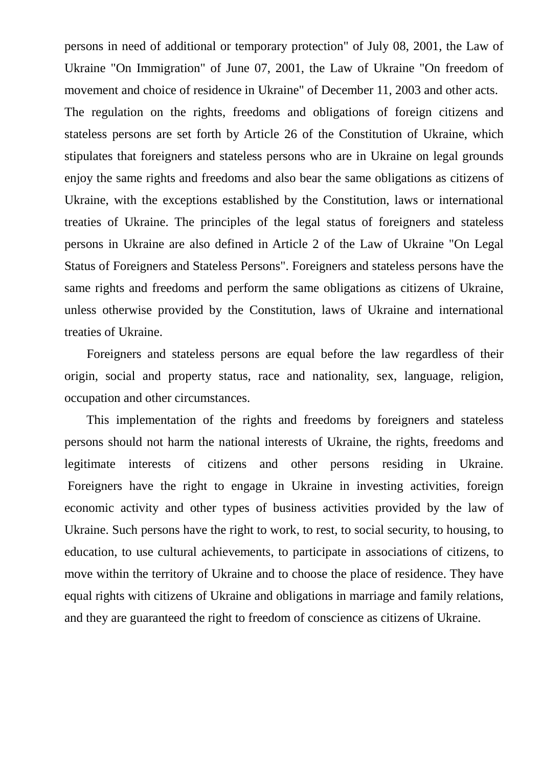persons in need of additional or temporary protection" of July 08, 2001, the Law of Ukraine "On Immigration" of June 07, 2001, the Law of Ukraine "On freedom of movement and choice of residence in Ukraine" of December 11, 2003 and other acts. The regulation on the rights, freedoms and obligations of foreign citizens and stateless persons are set forth by Article 26 of the Constitution of Ukraine, which stipulates that foreigners and stateless persons who are in Ukraine on legal grounds enjoy the same rights and freedoms and also bear the same obligations as citizens of Ukraine, with the exceptions established by the Constitution, laws or international treaties of Ukraine. The principles of the legal status of foreigners and stateless persons in Ukraine are also defined in Article 2 of the Law of Ukraine "On Legal Status of Foreigners and Stateless Persons". Foreigners and stateless persons have the same rights and freedoms and perform the same obligations as citizens of Ukraine, unless otherwise provided by the Constitution, laws of Ukraine and international treaties of Ukraine.

 Foreigners and stateless persons are equal before the law regardless of their origin, social and property status, race and nationality, sex, language, religion, occupation and other circumstances.

 This implementation of the rights and freedoms by foreigners and stateless persons should not harm the national interests of Ukraine, the rights, freedoms and legitimate interests of citizens and other persons residing in Ukraine. Foreigners have the right to engage in Ukraine in investing activities, foreign economic activity and other types of business activities provided by the law of Ukraine. Such persons have the right to work, to rest, to social security, to housing, to education, to use cultural achievements, to participate in associations of citizens, to move within the territory of Ukraine and to choose the place of residence. They have equal rights with citizens of Ukraine and obligations in marriage and family relations, and they are guaranteed the right to freedom of conscience as citizens of Ukraine.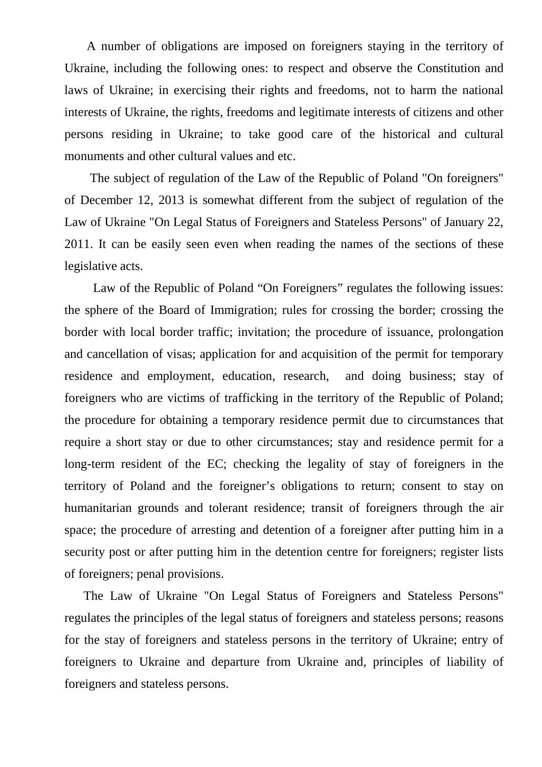A number of obligations are imposed on foreigners staying in the territory of Ukraine, including the following ones: to respect and observe the Constitution and laws of Ukraine; in exercising their rights and freedoms, not to harm the national interests of Ukraine, the rights, freedoms and legitimate interests of citizens and other persons residing in Ukraine; to take good care of the historical and cultural monuments and other cultural values and etc.

 The subject of regulation of the Law of the Republic of Poland "On foreigners" of December 12, 2013 is somewhat different from the subject of regulation of the Law of Ukraine "On Legal Status of Foreigners and Stateless Persons" of January 22, 2011. It can be easily seen even when reading the names of the sections of these legislative acts.

Law of the Republic of Poland "On Foreigners" regulates the following issues: the sphere of the Board of Immigration; rules for crossing the border; crossing the border with local border traffic; invitation; the procedure of issuance, prolongation and cancellation of visas; application for and acquisition of the permit for temporary residence and employment, education, research, and doing business; stay of foreigners who are victims of trafficking in the territory of the Republic of Poland; the procedure for obtaining a temporary residence permit due to circumstances that require a short stay or due to other circumstances; stay and residence permit for a long-term resident of the EC; checking the legality of stay of foreigners in the territory of Poland and the foreigner's obligations to return; consent to stay on humanitarian grounds and tolerant residence; transit of foreigners through the air space; the procedure of arresting and detention of a foreigner after putting him in a security post or after putting him in the detention centre for foreigners; register lists of foreigners; penal provisions.

 The Law of Ukraine "On Legal Status of Foreigners and Stateless Persons" regulates the principles of the legal status of foreigners and stateless persons; reasons for the stay of foreigners and stateless persons in the territory of Ukraine; entry of foreigners to Ukraine and departure from Ukraine and, principles of liability of foreigners and stateless persons.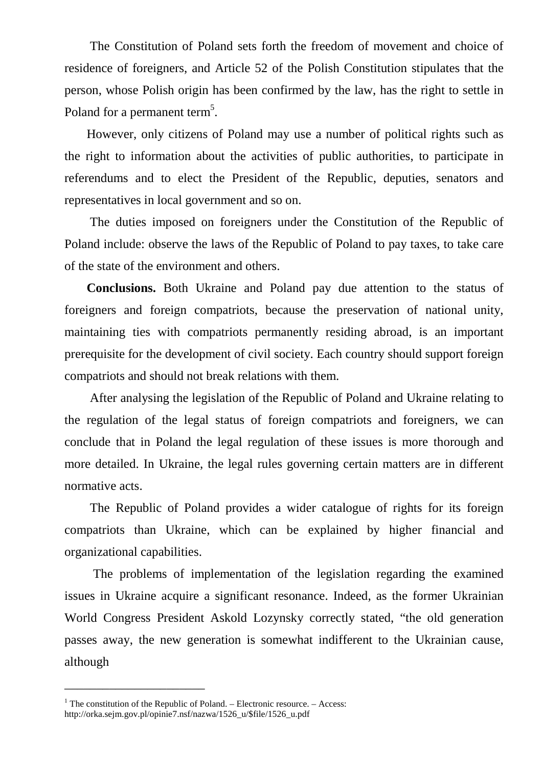The Constitution of Poland sets forth the freedom of movement and choice of residence of foreigners, and Article 52 of the Polish Constitution stipulates that the person, whose Polish origin has been confirmed by the law, has the right to settle in Poland for a permanent term<sup>5</sup>.

 However, only citizens of Poland may use a number of political rights such as the right to information about the activities of public authorities, to participate in referendums and to elect the President of the Republic, deputies, senators and representatives in local government and so on.

 The duties imposed on foreigners under the Constitution of the Republic of Poland include: observe the laws of the Republic of Poland to pay taxes, to take care of the state of the environment and others.

 **Conclusions.** Both Ukraine and Poland pay due attention to the status of foreigners and foreign compatriots, because the preservation of national unity, maintaining ties with compatriots permanently residing abroad, is an important prerequisite for the development of civil society. Each country should support foreign compatriots and should not break relations with them.

 After analysing the legislation of the Republic of Poland and Ukraine relating to the regulation of the legal status of foreign compatriots and foreigners, we can conclude that in Poland the legal regulation of these issues is more thorough and more detailed. In Ukraine, the legal rules governing certain matters are in different normative acts.

 The Republic of Poland provides a wider catalogue of rights for its foreign compatriots than Ukraine, which can be explained by higher financial and organizational capabilities.

 The problems of implementation of the legislation regarding the examined issues in Ukraine acquire a significant resonance. Indeed, as the former Ukrainian World Congress President Askold Lozynsky correctly stated, "the old generation passes away, the new generation is somewhat indifferent to the Ukrainian cause, although

\_\_\_\_\_\_\_\_\_\_\_\_\_\_\_\_\_\_\_\_\_\_

<sup>&</sup>lt;sup>1</sup> The constitution of the Republic of Poland. – Electronic resource. – Access: http://orka.sejm.gov.pl/opinie7.nsf/nazwa/1526\_u/\$file/1526\_u.pdf